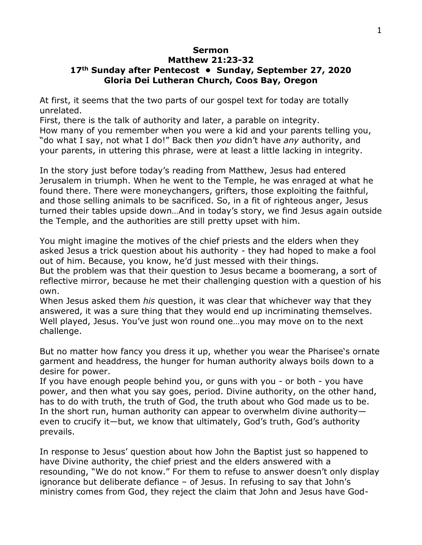## **Sermon**

## **Matthew 21:23-32 17th Sunday after Pentecost • Sunday, September 27, 2020 Gloria Dei Lutheran Church, Coos Bay, Oregon**

At first, it seems that the two parts of our gospel text for today are totally unrelated.

First, there is the talk of authority and later, a parable on integrity.

How many of you remember when you were a kid and your parents telling you, "do what I say, not what I do!" Back then *you* didn't have *any* authority, and your parents, in uttering this phrase, were at least a little lacking in integrity.

In the story just before today's reading from Matthew, Jesus had entered Jerusalem in triumph. When he went to the Temple, he was enraged at what he found there. There were moneychangers, grifters, those exploiting the faithful, and those selling animals to be sacrificed. So, in a fit of righteous anger, Jesus turned their tables upside down…And in today's story, we find Jesus again outside the Temple, and the authorities are still pretty upset with him.

You might imagine the motives of the chief priests and the elders when they asked Jesus a trick question about his authority - they had hoped to make a fool out of him. Because, you know, he'd just messed with their things.

But the problem was that their question to Jesus became a boomerang, a sort of reflective mirror, because he met their challenging question with a question of his own.

When Jesus asked them *his* question, it was clear that whichever way that they answered, it was a sure thing that they would end up incriminating themselves. Well played, Jesus. You've just won round one…you may move on to the next challenge.

But no matter how fancy you dress it up, whether you wear the Pharisee's ornate garment and headdress, the hunger for human authority always boils down to a desire for power.

If you have enough people behind you, or guns with you - or both - you have power, and then what you say goes, period. Divine authority, on the other hand, has to do with truth, the truth of God, the truth about who God made us to be. In the short run, human authority can appear to overwhelm divine authority even to crucify it—but, we know that ultimately, God's truth, God's authority prevails.

In response to Jesus' question about how John the Baptist just so happened to have Divine authority, the chief priest and the elders answered with a resounding, "We do not know." For them to refuse to answer doesn't only display ignorance but deliberate defiance – of Jesus. In refusing to say that John's ministry comes from God, they reject the claim that John and Jesus have God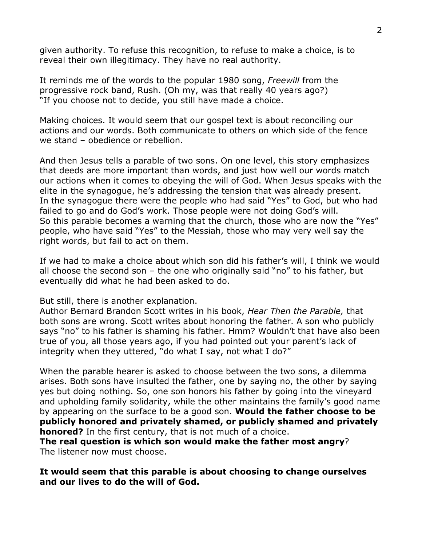given authority. To refuse this recognition, to refuse to make a choice, is to reveal their own illegitimacy. They have no real authority.

It reminds me of the words to the popular 1980 song, *Freewill* from the progressive rock band, Rush. (Oh my, was that really 40 years ago?) "If you choose not to decide, you still have made a choice.

Making choices. It would seem that our gospel text is about reconciling our actions and our words. Both communicate to others on which side of the fence we stand – obedience or rebellion.

And then Jesus tells a parable of two sons. On one level, this story emphasizes that deeds are more important than words, and just how well our words match our actions when it comes to obeying the will of God. When Jesus speaks with the elite in the synagogue, he's addressing the tension that was already present. In the synagogue there were the people who had said "Yes" to God, but who had failed to go and do God's work. Those people were not doing God's will. So this parable becomes a warning that the church, those who are now the "Yes" people, who have said "Yes" to the Messiah, those who may very well say the right words, but fail to act on them.

If we had to make a choice about which son did his father's will, I think we would all choose the second son – the one who originally said "no" to his father, but eventually did what he had been asked to do.

But still, there is another explanation.

Author Bernard Brandon Scott writes in his book, *Hear Then the Parable,* that both sons are wrong. Scott writes about honoring the father. A son who publicly says "no" to his father is shaming his father. Hmm? Wouldn't that have also been true of you, all those years ago, if you had pointed out your parent's lack of integrity when they uttered, "do what I say, not what I do?"

When the parable hearer is asked to choose between the two sons, a dilemma arises. Both sons have insulted the father, one by saying no, the other by saying yes but doing nothing. So, one son honors his father by going into the vineyard and upholding family solidarity, while the other maintains the family's good name by appearing on the surface to be a good son. **Would the father choose to be publicly honored and privately shamed, or publicly shamed and privately honored?** In the first century, that is not much of a choice.

**The real question is which son would make the father most angry**? The listener now must choose.

## **It would seem that this parable is about choosing to change ourselves and our lives to do the will of God.**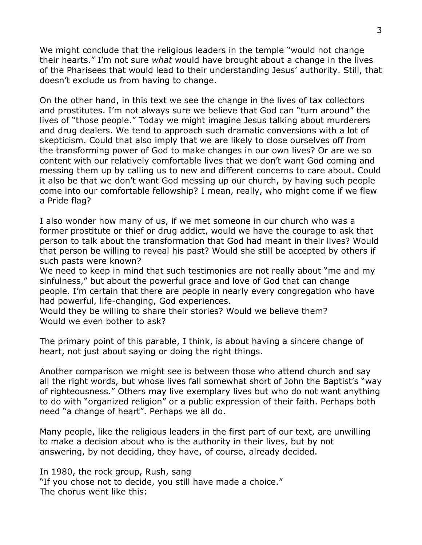We might conclude that the religious leaders in the temple "would not change their hearts." I'm not sure *what* would have brought about a change in the lives of the Pharisees that would lead to their understanding Jesus' authority. Still, that doesn't exclude us from having to change.

On the other hand, in this text we see the change in the lives of tax collectors and prostitutes. I'm not always sure we believe that God can "turn around" the lives of "those people." Today we might imagine Jesus talking about murderers and drug dealers. We tend to approach such dramatic conversions with a lot of skepticism. Could that also imply that we are likely to close ourselves off from the transforming power of God to make changes in our own lives? Or are we so content with our relatively comfortable lives that we don't want God coming and messing them up by calling us to new and different concerns to care about. Could it also be that we don't want God messing up our church, by having such people come into our comfortable fellowship? I mean, really, who might come if we flew a Pride flag?

I also wonder how many of us, if we met someone in our church who was a former prostitute or thief or drug addict, would we have the courage to ask that person to talk about the transformation that God had meant in their lives? Would that person be willing to reveal his past? Would she still be accepted by others if such pasts were known?

We need to keep in mind that such testimonies are not really about "me and my sinfulness," but about the powerful grace and love of God that can change people. I'm certain that there are people in nearly every congregation who have had powerful, life-changing, God experiences.

Would they be willing to share their stories? Would we believe them? Would we even bother to ask?

The primary point of this parable, I think, is about having a sincere change of heart, not just about saying or doing the right things.

Another comparison we might see is between those who attend church and say all the right words, but whose lives fall somewhat short of John the Baptist's "way of righteousness." Others may live exemplary lives but who do not want anything to do with "organized religion" or a public expression of their faith. Perhaps both need "a change of heart". Perhaps we all do.

Many people, like the religious leaders in the first part of our text, are unwilling to make a decision about who is the authority in their lives, but by not answering, by not deciding, they have, of course, already decided.

In 1980, the rock group, Rush, sang "If you chose not to decide, you still have made a choice." The chorus went like this: